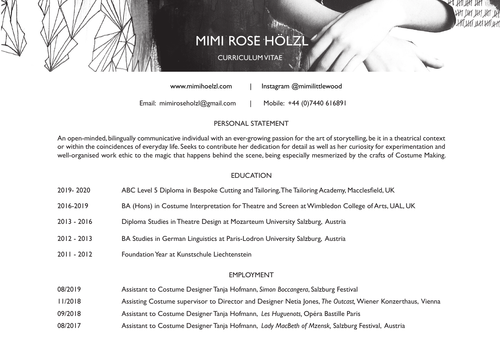

# **MIMI ROSE HÖLZ**

# CURRICULUM VITAE

www.mimihoelzl.com | Instagram @mimilittlewood

Email: mimiroseholzl@gmail.com | Mobile: +44 (0)7440 616891

## PERSONAL STATEMENT

An open-minded, bilingually communicative individual with an ever-growing passion for the art of storytelling, be it in a theatrical context or within the coincidences of everyday life. Seeks to contribute her dedication for detail as well as her curiosity for experimentation and well-organised work ethic to the magic that happens behind the scene, being especially mesmerized by the crafts of Costume Making.

### **EDUCATION**

- 2019- 2020 ABC Level 5 Diploma in Bespoke Cutting and Tailoring, The Tailoring Academy, Macclesfield, UK
- 2016-2019 BA (Hons) in Costume Interpretation for Theatre and Screen at Wimbledon College of Arts, UAL, UK
- 2013 2016 Diploma Studies in Theatre Design at Mozarteum University Salzburg, Austria
- 2012 2013 BA Studies in German Linguistics at Paris-Lodron University Salzburg, Austria
- 2011 2012 Foundation Year at Kunstschule Liechtenstein

### EMPLOYMENT

- 08/2019 Assistant to Costume Designer Tanja Hofmann, *Simon Boccangera*, Salzburg Festival
- 11/2018 Assisting Costume supervisor to Director and Designer Netia Jones, *The Outcast,* Wiener Konzerthaus, Vienna
- 09/2018 Assistant to Costume Designer Tanja Hofmann, *Les Huguenots,* Opéra Bastille Paris
- 08/2017 Assistant to Costume Designer Tanja Hofmann, *Lady MacBeth of Mzensk,* Salzburg Festival, Austria